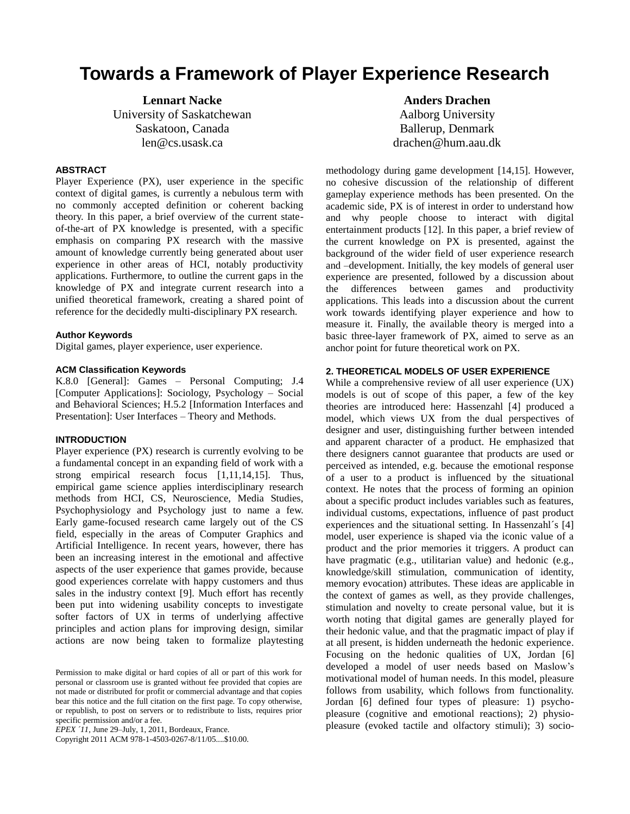# **Towards a Framework of Player Experience Research**

**Lennart Nacke** University of Saskatchewan Saskatoon, Canada len@cs.usask.ca

# **ABSTRACT**

Player Experience (PX), user experience in the specific context of digital games, is currently a nebulous term with no commonly accepted definition or coherent backing theory. In this paper, a brief overview of the current stateof-the-art of PX knowledge is presented, with a specific emphasis on comparing PX research with the massive amount of knowledge currently being generated about user experience in other areas of HCI, notably productivity applications. Furthermore, to outline the current gaps in the knowledge of PX and integrate current research into a unified theoretical framework, creating a shared point of reference for the decidedly multi-disciplinary PX research.

#### **Author Keywords**

Digital games, player experience, user experience.

#### **ACM Classification Keywords**

K.8.0 [General]: Games – Personal Computing; J.4 [Computer Applications]: Sociology, Psychology – Social and Behavioral Sciences; H.5.2 [Information Interfaces and Presentation]: User Interfaces – Theory and Methods.

# **INTRODUCTION**

Player experience (PX) research is currently evolving to be a fundamental concept in an expanding field of work with a strong empirical research focus [1,11,14,15]. Thus, empirical game science applies interdisciplinary research methods from HCI, CS, Neuroscience, Media Studies, Psychophysiology and Psychology just to name a few. Early game-focused research came largely out of the CS field, especially in the areas of Computer Graphics and Artificial Intelligence. In recent years, however, there has been an increasing interest in the emotional and affective aspects of the user experience that games provide, because good experiences correlate with happy customers and thus sales in the industry context [9]. Much effort has recently been put into widening usability concepts to investigate softer factors of UX in terms of underlying affective principles and action plans for improving design, similar actions are now being taken to formalize playtesting

*EPEX ´11,* June 29–July, 1, 2011, Bordeaux, France.

Copyright 2011 ACM 978-1-4503-0267-8/11/05....\$10.00.

**Anders Drachen** Aalborg University Ballerup, Denmark drachen@hum.aau.dk

methodology during game development [14,15]. However, no cohesive discussion of the relationship of different gameplay experience methods has been presented. On the academic side, PX is of interest in order to understand how and why people choose to interact with digital entertainment products [12]. In this paper, a brief review of the current knowledge on PX is presented, against the background of the wider field of user experience research and –development. Initially, the key models of general user experience are presented, followed by a discussion about the differences between games and productivity applications. This leads into a discussion about the current work towards identifying player experience and how to measure it. Finally, the available theory is merged into a basic three-layer framework of PX, aimed to serve as an anchor point for future theoretical work on PX.

#### **2. THEORETICAL MODELS OF USER EXPERIENCE**

While a comprehensive review of all user experience (UX) models is out of scope of this paper, a few of the key theories are introduced here: Hassenzahl [4] produced a model, which views UX from the dual perspectives of designer and user, distinguishing further between intended and apparent character of a product. He emphasized that there designers cannot guarantee that products are used or perceived as intended, e.g. because the emotional response of a user to a product is influenced by the situational context. He notes that the process of forming an opinion about a specific product includes variables such as features, individual customs, expectations, influence of past product experiences and the situational setting. In Hassenzahl´s [4] model, user experience is shaped via the iconic value of a product and the prior memories it triggers. A product can have pragmatic (e.g., utilitarian value) and hedonic (e.g., knowledge/skill stimulation, communication of identity, memory evocation) attributes. These ideas are applicable in the context of games as well, as they provide challenges, stimulation and novelty to create personal value, but it is worth noting that digital games are generally played for their hedonic value, and that the pragmatic impact of play if at all present, is hidden underneath the hedonic experience. Focusing on the hedonic qualities of UX, Jordan [6] developed a model of user needs based on Maslow's motivational model of human needs. In this model, pleasure follows from usability, which follows from functionality. Jordan [6] defined four types of pleasure: 1) psychopleasure (cognitive and emotional reactions); 2) physiopleasure (evoked tactile and olfactory stimuli); 3) socio-

Permission to make digital or hard copies of all or part of this work for personal or classroom use is granted without fee provided that copies are not made or distributed for profit or commercial advantage and that copies bear this notice and the full citation on the first page. To copy otherwise, or republish, to post on servers or to redistribute to lists, requires prior specific permission and/or a fee.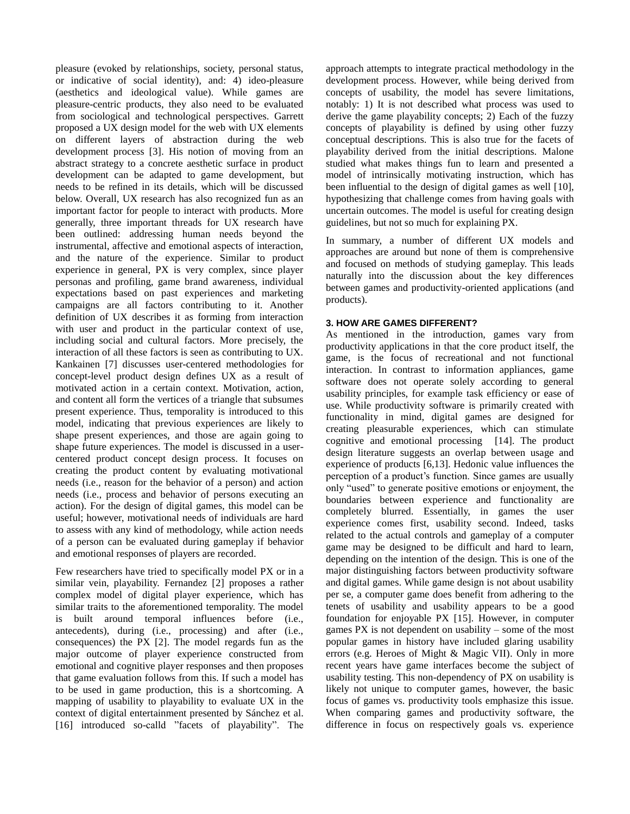pleasure (evoked by relationships, society, personal status, or indicative of social identity), and: 4) ideo-pleasure (aesthetics and ideological value). While games are pleasure-centric products, they also need to be evaluated from sociological and technological perspectives. Garrett proposed a UX design model for the web with UX elements on different layers of abstraction during the web development process [3]. His notion of moving from an abstract strategy to a concrete aesthetic surface in product development can be adapted to game development, but needs to be refined in its details, which will be discussed below. Overall, UX research has also recognized fun as an important factor for people to interact with products. More generally, three important threads for UX research have been outlined: addressing human needs beyond the instrumental, affective and emotional aspects of interaction, and the nature of the experience. Similar to product experience in general, PX is very complex, since player personas and profiling, game brand awareness, individual expectations based on past experiences and marketing campaigns are all factors contributing to it. Another definition of UX describes it as forming from interaction with user and product in the particular context of use, including social and cultural factors. More precisely, the interaction of all these factors is seen as contributing to UX. Kankainen [7] discusses user-centered methodologies for concept-level product design defines UX as a result of motivated action in a certain context. Motivation, action, and content all form the vertices of a triangle that subsumes present experience. Thus, temporality is introduced to this model, indicating that previous experiences are likely to shape present experiences, and those are again going to shape future experiences. The model is discussed in a usercentered product concept design process. It focuses on creating the product content by evaluating motivational needs (i.e., reason for the behavior of a person) and action needs (i.e., process and behavior of persons executing an action). For the design of digital games, this model can be useful; however, motivational needs of individuals are hard to assess with any kind of methodology, while action needs of a person can be evaluated during gameplay if behavior and emotional responses of players are recorded.

Few researchers have tried to specifically model PX or in a similar vein, playability. Fernandez [2] proposes a rather complex model of digital player experience, which has similar traits to the aforementioned temporality. The model is built around temporal influences before (i.e., antecedents), during (i.e., processing) and after (i.e., consequences) the PX [2]. The model regards fun as the major outcome of player experience constructed from emotional and cognitive player responses and then proposes that game evaluation follows from this. If such a model has to be used in game production, this is a shortcoming. A mapping of usability to playability to evaluate UX in the context of digital entertainment presented by Sánchez et al. [16] introduced so-calld "facets of playability". The

approach attempts to integrate practical methodology in the development process. However, while being derived from concepts of usability, the model has severe limitations, notably: 1) It is not described what process was used to derive the game playability concepts; 2) Each of the fuzzy concepts of playability is defined by using other fuzzy conceptual descriptions. This is also true for the facets of playability derived from the initial descriptions. Malone studied what makes things fun to learn and presented a model of intrinsically motivating instruction, which has been influential to the design of digital games as well [10], hypothesizing that challenge comes from having goals with uncertain outcomes. The model is useful for creating design guidelines, but not so much for explaining PX.

In summary, a number of different UX models and approaches are around but none of them is comprehensive and focused on methods of studying gameplay. This leads naturally into the discussion about the key differences between games and productivity-oriented applications (and products).

# **3. HOW ARE GAMES DIFFERENT?**

As mentioned in the introduction, games vary from productivity applications in that the core product itself, the game, is the focus of recreational and not functional interaction. In contrast to information appliances, game software does not operate solely according to general usability principles, for example task efficiency or ease of use. While productivity software is primarily created with functionality in mind, digital games are designed for creating pleasurable experiences, which can stimulate cognitive and emotional processing [14]. The product design literature suggests an overlap between usage and experience of products [6,13]. Hedonic value influences the perception of a product's function. Since games are usually only "used" to generate positive emotions or enjoyment, the boundaries between experience and functionality are completely blurred. Essentially, in games the user experience comes first, usability second. Indeed, tasks related to the actual controls and gameplay of a computer game may be designed to be difficult and hard to learn, depending on the intention of the design. This is one of the major distinguishing factors between productivity software and digital games. While game design is not about usability per se, a computer game does benefit from adhering to the tenets of usability and usability appears to be a good foundation for enjoyable PX [15]. However, in computer games PX is not dependent on usability – some of the most popular games in history have included glaring usability errors (e.g. Heroes of Might & Magic VII). Only in more recent years have game interfaces become the subject of usability testing. This non-dependency of PX on usability is likely not unique to computer games, however, the basic focus of games vs. productivity tools emphasize this issue. When comparing games and productivity software, the difference in focus on respectively goals vs. experience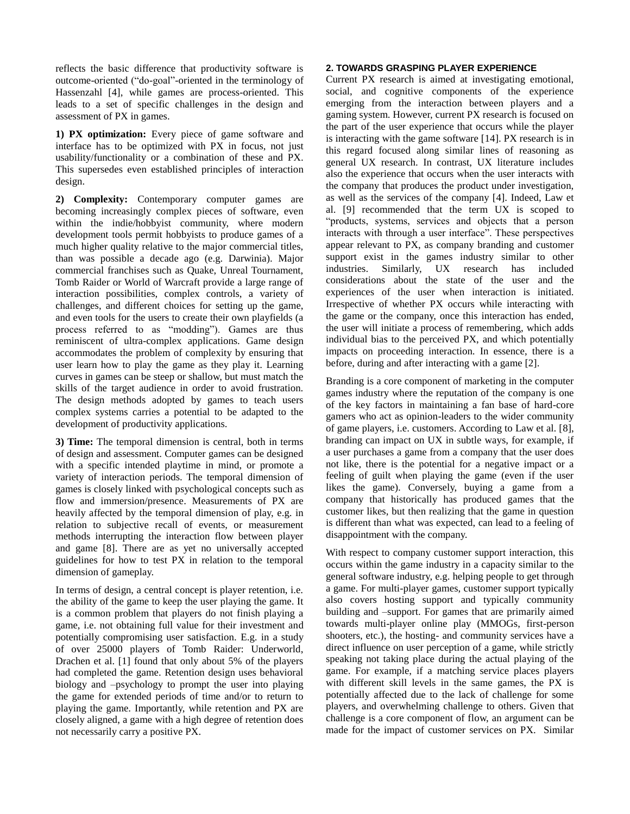reflects the basic difference that productivity software is outcome-oriented ("do-goal"-oriented in the terminology of Hassenzahl [4], while games are process-oriented. This leads to a set of specific challenges in the design and assessment of PX in games.

**1) PX optimization:** Every piece of game software and interface has to be optimized with PX in focus, not just usability/functionality or a combination of these and PX. This supersedes even established principles of interaction design.

**2) Complexity:** Contemporary computer games are becoming increasingly complex pieces of software, even within the indie/hobbyist community, where modern development tools permit hobbyists to produce games of a much higher quality relative to the major commercial titles, than was possible a decade ago (e.g. Darwinia). Major commercial franchises such as Quake, Unreal Tournament, Tomb Raider or World of Warcraft provide a large range of interaction possibilities, complex controls, a variety of challenges, and different choices for setting up the game, and even tools for the users to create their own playfields (a process referred to as "modding"). Games are thus reminiscent of ultra-complex applications. Game design accommodates the problem of complexity by ensuring that user learn how to play the game as they play it. Learning curves in games can be steep or shallow, but must match the skills of the target audience in order to avoid frustration. The design methods adopted by games to teach users complex systems carries a potential to be adapted to the development of productivity applications.

**3) Time:** The temporal dimension is central, both in terms of design and assessment. Computer games can be designed with a specific intended playtime in mind, or promote a variety of interaction periods. The temporal dimension of games is closely linked with psychological concepts such as flow and immersion/presence. Measurements of PX are heavily affected by the temporal dimension of play, e.g. in relation to subjective recall of events, or measurement methods interrupting the interaction flow between player and game [8]. There are as yet no universally accepted guidelines for how to test PX in relation to the temporal dimension of gameplay.

In terms of design, a central concept is player retention, i.e. the ability of the game to keep the user playing the game. It is a common problem that players do not finish playing a game, i.e. not obtaining full value for their investment and potentially compromising user satisfaction. E.g. in a study of over 25000 players of Tomb Raider: Underworld, Drachen et al. [1] found that only about 5% of the players had completed the game. Retention design uses behavioral biology and –psychology to prompt the user into playing the game for extended periods of time and/or to return to playing the game. Importantly, while retention and PX are closely aligned, a game with a high degree of retention does not necessarily carry a positive PX.

#### **2. TOWARDS GRASPING PLAYER EXPERIENCE**

Current PX research is aimed at investigating emotional, social, and cognitive components of the experience emerging from the interaction between players and a gaming system. However, current PX research is focused on the part of the user experience that occurs while the player is interacting with the game software [14]. PX research is in this regard focused along similar lines of reasoning as general UX research. In contrast, UX literature includes also the experience that occurs when the user interacts with the company that produces the product under investigation, as well as the services of the company [4]. Indeed, Law et al. [9] recommended that the term UX is scoped to "products, systems, services and objects that a person interacts with through a user interface". These perspectives appear relevant to PX, as company branding and customer support exist in the games industry similar to other industries. Similarly, UX research has included considerations about the state of the user and the experiences of the user when interaction is initiated. Irrespective of whether PX occurs while interacting with the game or the company, once this interaction has ended, the user will initiate a process of remembering, which adds individual bias to the perceived PX, and which potentially impacts on proceeding interaction. In essence, there is a before, during and after interacting with a game [2].

Branding is a core component of marketing in the computer games industry where the reputation of the company is one of the key factors in maintaining a fan base of hard-core gamers who act as opinion-leaders to the wider community of game players, i.e. customers. According to Law et al. [8], branding can impact on UX in subtle ways, for example, if a user purchases a game from a company that the user does not like, there is the potential for a negative impact or a feeling of guilt when playing the game (even if the user likes the game). Conversely, buying a game from a company that historically has produced games that the customer likes, but then realizing that the game in question is different than what was expected, can lead to a feeling of disappointment with the company.

With respect to company customer support interaction, this occurs within the game industry in a capacity similar to the general software industry, e.g. helping people to get through a game. For multi-player games, customer support typically also covers hosting support and typically community building and –support. For games that are primarily aimed towards multi-player online play (MMOGs, first-person shooters, etc.), the hosting- and community services have a direct influence on user perception of a game, while strictly speaking not taking place during the actual playing of the game. For example, if a matching service places players with different skill levels in the same games, the PX is potentially affected due to the lack of challenge for some players, and overwhelming challenge to others. Given that challenge is a core component of flow, an argument can be made for the impact of customer services on PX. Similar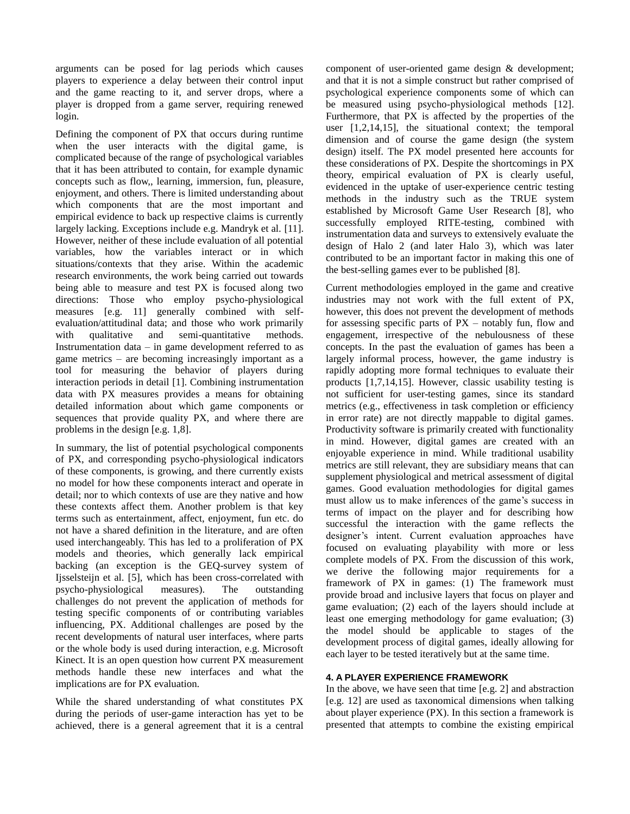arguments can be posed for lag periods which causes players to experience a delay between their control input and the game reacting to it, and server drops, where a player is dropped from a game server, requiring renewed login.

Defining the component of PX that occurs during runtime when the user interacts with the digital game, is complicated because of the range of psychological variables that it has been attributed to contain, for example dynamic concepts such as flow,, learning, immersion, fun, pleasure, enjoyment, and others. There is limited understanding about which components that are the most important and empirical evidence to back up respective claims is currently largely lacking. Exceptions include e.g. Mandryk et al. [11]. However, neither of these include evaluation of all potential variables, how the variables interact or in which situations/contexts that they arise. Within the academic research environments, the work being carried out towards being able to measure and test PX is focused along two directions: Those who employ psycho-physiological measures [e.g. 11] generally combined with selfevaluation/attitudinal data; and those who work primarily with qualitative and semi-quantitative methods. Instrumentation data – in game development referred to as game metrics – are becoming increasingly important as a tool for measuring the behavior of players during interaction periods in detail [1]. Combining instrumentation data with PX measures provides a means for obtaining detailed information about which game components or sequences that provide quality PX, and where there are problems in the design [e.g. 1,8].

In summary, the list of potential psychological components of PX, and corresponding psycho-physiological indicators of these components, is growing, and there currently exists no model for how these components interact and operate in detail; nor to which contexts of use are they native and how these contexts affect them. Another problem is that key terms such as entertainment, affect, enjoyment, fun etc. do not have a shared definition in the literature, and are often used interchangeably. This has led to a proliferation of PX models and theories, which generally lack empirical backing (an exception is the GEQ-survey system of Ijsselsteijn et al. [5], which has been cross-correlated with psycho-physiological measures). The outstanding challenges do not prevent the application of methods for testing specific components of or contributing variables influencing, PX. Additional challenges are posed by the recent developments of natural user interfaces, where parts or the whole body is used during interaction, e.g. Microsoft Kinect. It is an open question how current PX measurement methods handle these new interfaces and what the implications are for PX evaluation.

While the shared understanding of what constitutes PX during the periods of user-game interaction has yet to be achieved, there is a general agreement that it is a central component of user-oriented game design & development; and that it is not a simple construct but rather comprised of psychological experience components some of which can be measured using psycho-physiological methods [12]. Furthermore, that PX is affected by the properties of the user [1,2,14,15], the situational context; the temporal dimension and of course the game design (the system design) itself. The PX model presented here accounts for these considerations of PX. Despite the shortcomings in PX theory, empirical evaluation of PX is clearly useful, evidenced in the uptake of user-experience centric testing methods in the industry such as the TRUE system established by Microsoft Game User Research [8], who successfully employed RITE-testing, combined with instrumentation data and surveys to extensively evaluate the design of Halo 2 (and later Halo 3), which was later contributed to be an important factor in making this one of the best-selling games ever to be published [8].

Current methodologies employed in the game and creative industries may not work with the full extent of PX, however, this does not prevent the development of methods for assessing specific parts of PX – notably fun, flow and engagement, irrespective of the nebulousness of these concepts. In the past the evaluation of games has been a largely informal process, however, the game industry is rapidly adopting more formal techniques to evaluate their products [1,7,14,15]. However, classic usability testing is not sufficient for user-testing games, since its standard metrics (e.g., effectiveness in task completion or efficiency in error rate) are not directly mappable to digital games. Productivity software is primarily created with functionality in mind. However, digital games are created with an enjoyable experience in mind. While traditional usability metrics are still relevant, they are subsidiary means that can supplement physiological and metrical assessment of digital games. Good evaluation methodologies for digital games must allow us to make inferences of the game's success in terms of impact on the player and for describing how successful the interaction with the game reflects the designer's intent. Current evaluation approaches have focused on evaluating playability with more or less complete models of PX. From the discussion of this work, we derive the following major requirements for a framework of PX in games: (1) The framework must provide broad and inclusive layers that focus on player and game evaluation; (2) each of the layers should include at least one emerging methodology for game evaluation; (3) the model should be applicable to stages of the development process of digital games, ideally allowing for each layer to be tested iteratively but at the same time.

# **4. A PLAYER EXPERIENCE FRAMEWORK**

In the above, we have seen that time [e.g. 2] and abstraction [e.g. 12] are used as taxonomical dimensions when talking about player experience (PX). In this section a framework is presented that attempts to combine the existing empirical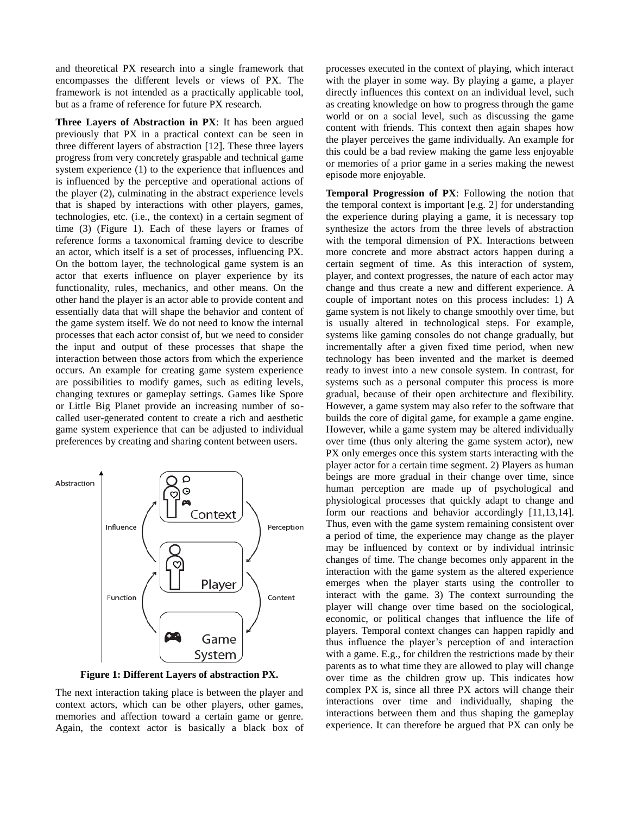and theoretical PX research into a single framework that encompasses the different levels or views of PX. The framework is not intended as a practically applicable tool, but as a frame of reference for future PX research.

**Three Layers of Abstraction in PX**: It has been argued previously that PX in a practical context can be seen in three different layers of abstraction [12]. These three layers progress from very concretely graspable and technical game system experience (1) to the experience that influences and is influenced by the perceptive and operational actions of the player (2), culminating in the abstract experience levels that is shaped by interactions with other players, games, technologies, etc. (i.e., the context) in a certain segment of time (3) (Figure 1). Each of these layers or frames of reference forms a taxonomical framing device to describe an actor, which itself is a set of processes, influencing PX. On the bottom layer, the technological game system is an actor that exerts influence on player experience by its functionality, rules, mechanics, and other means. On the other hand the player is an actor able to provide content and essentially data that will shape the behavior and content of the game system itself. We do not need to know the internal processes that each actor consist of, but we need to consider the input and output of these processes that shape the interaction between those actors from which the experience occurs. An example for creating game system experience are possibilities to modify games, such as editing levels, changing textures or gameplay settings. Games like Spore or Little Big Planet provide an increasing number of socalled user-generated content to create a rich and aesthetic game system experience that can be adjusted to individual preferences by creating and sharing content between users.



**Figure 1: Different Layers of abstraction PX.**

The next interaction taking place is between the player and context actors, which can be other players, other games, memories and affection toward a certain game or genre. Again, the context actor is basically a black box of processes executed in the context of playing, which interact with the player in some way. By playing a game, a player directly influences this context on an individual level, such as creating knowledge on how to progress through the game world or on a social level, such as discussing the game content with friends. This context then again shapes how the player perceives the game individually. An example for this could be a bad review making the game less enjoyable or memories of a prior game in a series making the newest episode more enjoyable.

**Temporal Progression of PX**: Following the notion that the temporal context is important [e.g. 2] for understanding the experience during playing a game, it is necessary top synthesize the actors from the three levels of abstraction with the temporal dimension of PX. Interactions between more concrete and more abstract actors happen during a certain segment of time. As this interaction of system, player, and context progresses, the nature of each actor may change and thus create a new and different experience. A couple of important notes on this process includes: 1) A game system is not likely to change smoothly over time, but is usually altered in technological steps. For example, systems like gaming consoles do not change gradually, but incrementally after a given fixed time period, when new technology has been invented and the market is deemed ready to invest into a new console system. In contrast, for systems such as a personal computer this process is more gradual, because of their open architecture and flexibility. However, a game system may also refer to the software that builds the core of digital game, for example a game engine. However, while a game system may be altered individually over time (thus only altering the game system actor), new PX only emerges once this system starts interacting with the player actor for a certain time segment. 2) Players as human beings are more gradual in their change over time, since human perception are made up of psychological and physiological processes that quickly adapt to change and form our reactions and behavior accordingly [11,13,14]. Thus, even with the game system remaining consistent over a period of time, the experience may change as the player may be influenced by context or by individual intrinsic changes of time. The change becomes only apparent in the interaction with the game system as the altered experience emerges when the player starts using the controller to interact with the game. 3) The context surrounding the player will change over time based on the sociological, economic, or political changes that influence the life of players. Temporal context changes can happen rapidly and thus influence the player's perception of and interaction with a game. E.g., for children the restrictions made by their parents as to what time they are allowed to play will change over time as the children grow up. This indicates how complex PX is, since all three PX actors will change their interactions over time and individually, shaping the interactions between them and thus shaping the gameplay experience. It can therefore be argued that PX can only be